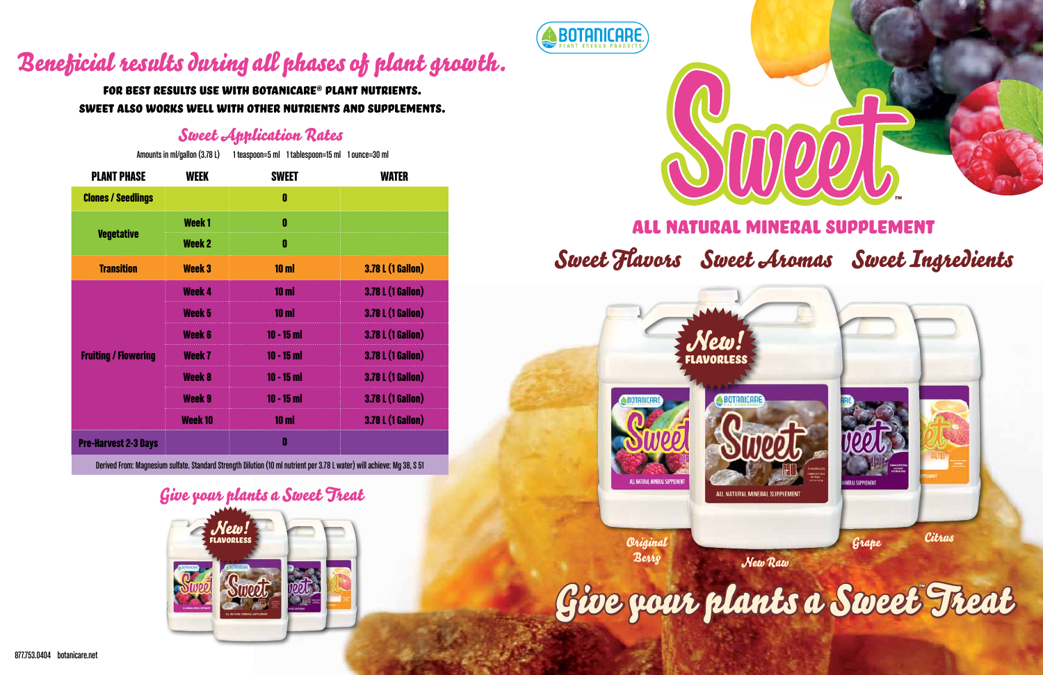# All Natural Mineral Supplement Sweet Flavors Sweet Aromas Sweet Ingredients

#### Sweet Application Rates

| Amounts in ml/gallon (3.78 L) |                   | 1 teaspoon=5 ml 1 tablespoon=15 ml 1 ounce=30 ml |                          |
|-------------------------------|-------------------|--------------------------------------------------|--------------------------|
| <b>PLANT PHASE</b>            | <b>WEEK</b>       | <b>SWEET</b>                                     | WATER                    |
| <b>Clones / Seedlings</b>     |                   | 0                                                |                          |
| <b>Vegetative</b>             | Week <sub>1</sub> | 0                                                |                          |
|                               | <b>Week 2</b>     | 0                                                |                          |
| <b>Transition</b>             | <b>Week 3</b>     | 10 <sub>m</sub>                                  | <b>3.78 L (1 Gallon)</b> |
| <b>Fruiting / Flowering</b>   | <b>Week 4</b>     | 10 <sub>m</sub>                                  | <b>3.78 L (1 Gallon)</b> |
|                               | Week 5            | 10 <sub>m</sub>                                  | <b>3.78 L (1 Gallon)</b> |
|                               | <b>Week 6</b>     | $10 - 15$ m                                      | <b>3.78 L (1 Gallon)</b> |
|                               | Week <sub>7</sub> | $10 - 15$ ml                                     | <b>3.78 L (1 Gallon)</b> |
|                               | <b>Week 8</b>     | $10 - 15$ m                                      | <b>3.78 L (1 Gallon)</b> |
|                               | <b>Week 9</b>     | $10 - 15$ m                                      | <b>3.78 L (1 Gallon)</b> |
|                               | Week 10           | 10 <sub>m</sub>                                  | <b>3.78 L (1 Gallon)</b> |
| <b>Pre-Harvest 2-3 Days</b>   |                   | 0                                                |                          |



Derived From: Magnesium sulfate.Standard Strength Dilution (10 ml nutrient per 3.78L water) will achieve: Mg 38, S 51

# Beneficial results during all phases of plant growth.

For best results use with Botanicare® Plant Nutrients. Sweet also works well with other nutrients and supplements.